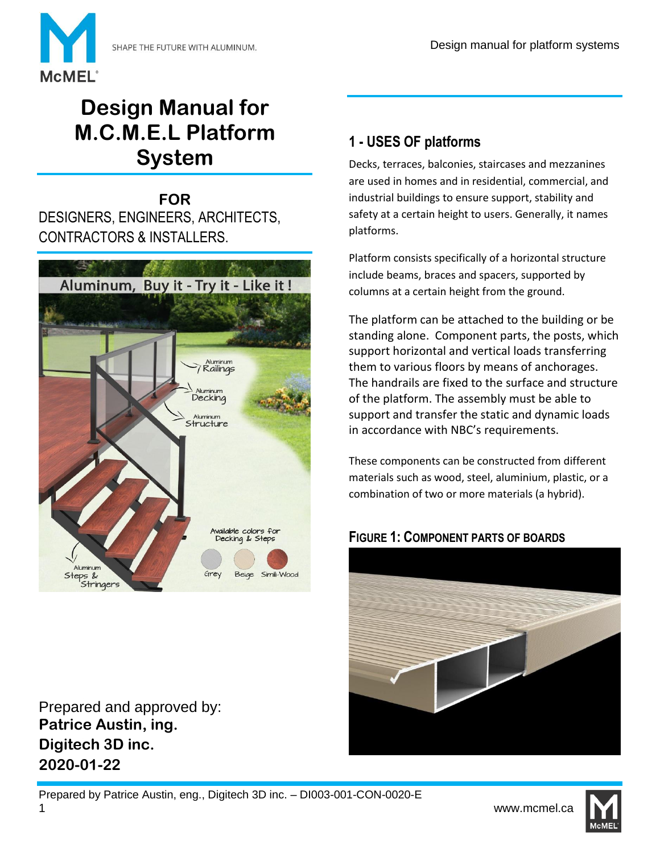

# **Design Manual for M.C.M.E.L Platform System**

**FOR** DESIGNERS, ENGINEERS, ARCHITECTS, CONTRACTORS & INSTALLERS.



Prepared and approved by: **Patrice Austin, ing. Digitech 3D inc. 2020-01-22**

# **1 - USES OF platforms**

Decks, terraces, balconies, staircases and mezzanines are used in homes and in residential, commercial, and industrial buildings to ensure support, stability and safety at a certain height to users. Generally, it names platforms.

Platform consists specifically of a horizontal structure include beams, braces and spacers, supported by columns at a certain height from the ground.

The platform can be attached to the building or be standing alone. Component parts, the posts, which support horizontal and vertical loads transferring them to various floors by means of anchorages. The handrails are fixed to the surface and structure of the platform. The assembly must be able to support and transfer the static and dynamic loads in accordance with NBC's requirements.

These components can be constructed from different materials such as wood, steel, aluminium, plastic, or a combination of two or more materials (a hybrid).

#### **FIGURE 1: COMPONENT PARTS OF BOARDS**



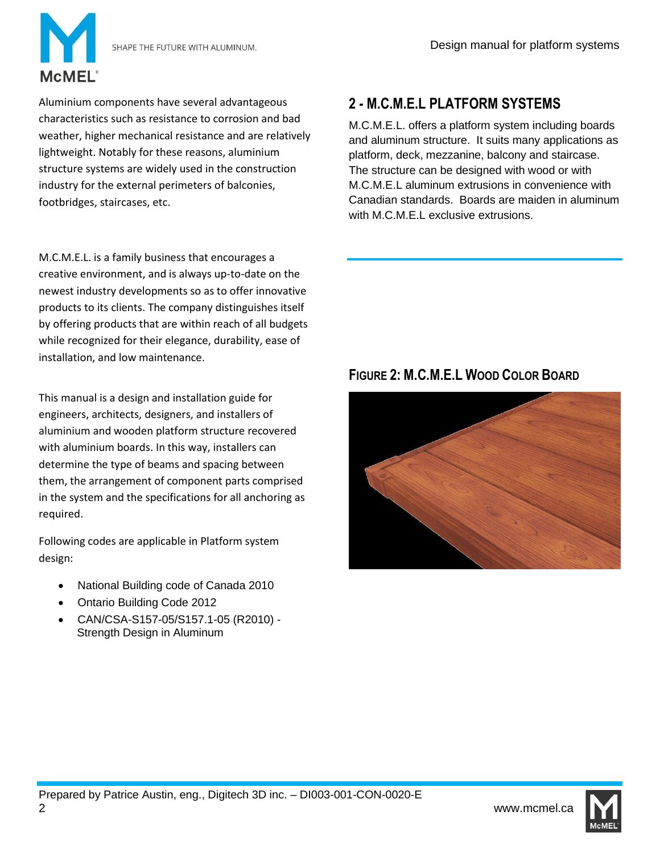

Aluminium components have several advantageous characteristics such as resistance to corrosion and bad weather, higher mechanical resistance and are relatively lightweight. Notably for these reasons, aluminium structure systems are widely used in the construction industry for the external perimeters of balconies, footbridges, staircases, etc.

M.C.M.E.L. is a family business that encourages a creative environment, and is always up-to-date on the newest industry developments so as to offer innovative products to its clients. The company distinguishes itself by offering products that are within reach of all budgets while recognized for their elegance, durability, ease of installation, and low maintenance.

This manual is a design and installation guide for engineers, architects, designers, and installers of aluminium and wooden platform structure recovered with aluminium boards. In this way, installers can determine the type of beams and spacing between them, the arrangement of component parts comprised in the system and the specifications for all anchoring as required.

Following codes are applicable in Platform system design:

- National Building code of Canada 2010
- Ontario Building Code 2012
- CAN/CSA-S157-05/S157.1-05 (R2010) Strength Design in Aluminum

# **2 - M.C.M.E.L PLATFORM SYSTEMS**

M.C.M.E.L. offers a platform system including boards and aluminum structure. It suits many applications as platform, deck, mezzanine, balcony and staircase. The structure can be designed with wood or with M.C.M.E.L aluminum extrusions in convenience with Canadian standards. Boards are maiden in aluminum with M.C.M.E.L exclusive extrusions.

# **FIGURE 2: M.C.M.E.L WOOD COLOR BOARD**



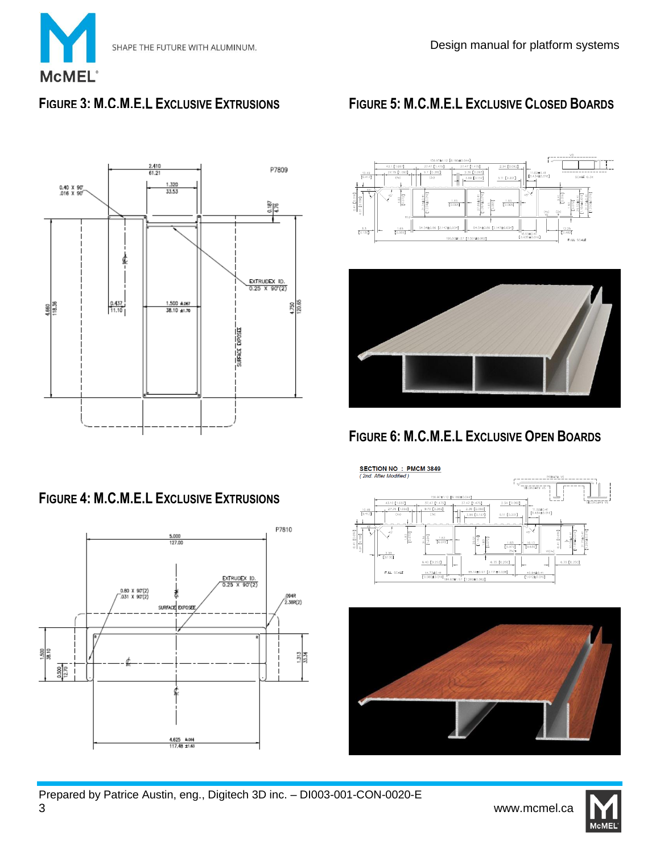

## **FIGURE 3: M.C.M.E.L EXCLUSIVE EXTRUSIONS**



## **FIGURE 4: M.C.M.E.L EXCLUSIVE EXTRUSIONS**



# **FIGURE 5: M.C.M.E.L EXCLUSIVE CLOSED BOARDS**











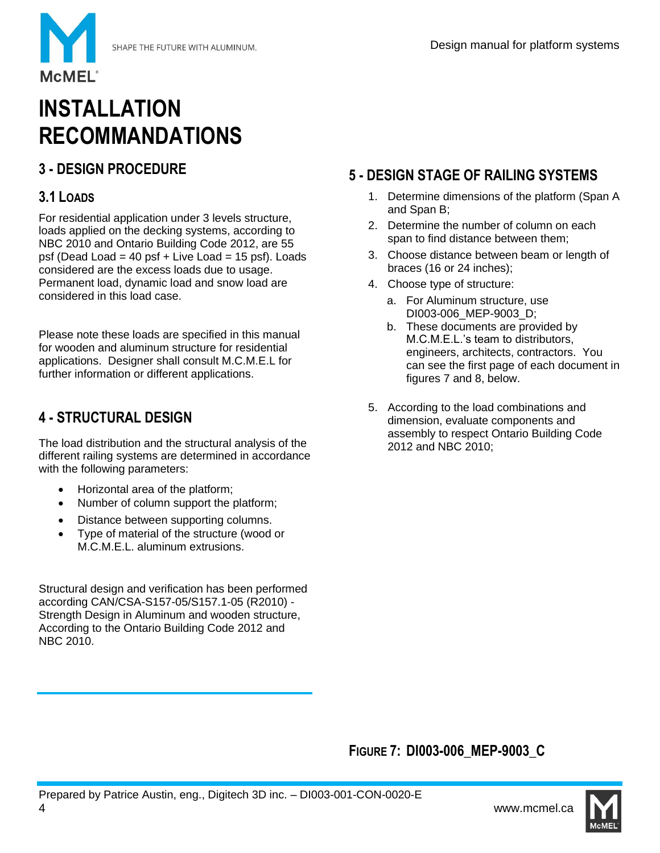

# **INSTALLATION RECOMMANDATIONS**

# **3 - DESIGN PROCEDURE**

#### **3.1 LOADS**

**McMEL** 

For residential application under 3 levels structure, loads applied on the decking systems, according to NBC 2010 and Ontario Building Code 2012, are 55 psf (Dead Load = 40 psf + Live Load = 15 psf). Loads considered are the excess loads due to usage. Permanent load, dynamic load and snow load are considered in this load case.

Please note these loads are specified in this manual for wooden and aluminum structure for residential applications. Designer shall consult M.C.M.E.L for further information or different applications.

## **4 - STRUCTURAL DESIGN**

The load distribution and the structural analysis of the different railing systems are determined in accordance with the following parameters:

- Horizontal area of the platform;
- Number of column support the platform;
- Distance between supporting columns.
- Type of material of the structure (wood or M.C.M.E.L. aluminum extrusions.

Structural design and verification has been performed according CAN/CSA-S157-05/S157.1-05 (R2010) - Strength Design in Aluminum and wooden structure, According to the Ontario Building Code 2012 and NBC 2010.

# **5 - DESIGN STAGE OF RAILING SYSTEMS**

- 1. Determine dimensions of the platform (Span A and Span B;
- 2. Determine the number of column on each span to find distance between them;
- 3. Choose distance between beam or length of braces (16 or 24 inches);
- 4. Choose type of structure:
	- a. For Aluminum structure, use DI003-006\_MEP-9003\_D;
	- b. These documents are provided by M.C.M.E.L.'s team to distributors, engineers, architects, contractors. You can see the first page of each document in figures 7 and 8, below.
- 5. According to the load combinations and dimension, evaluate components and assembly to respect Ontario Building Code 2012 and NBC 2010;

#### **FIGURE 7: DI003-006\_MEP-9003\_C**

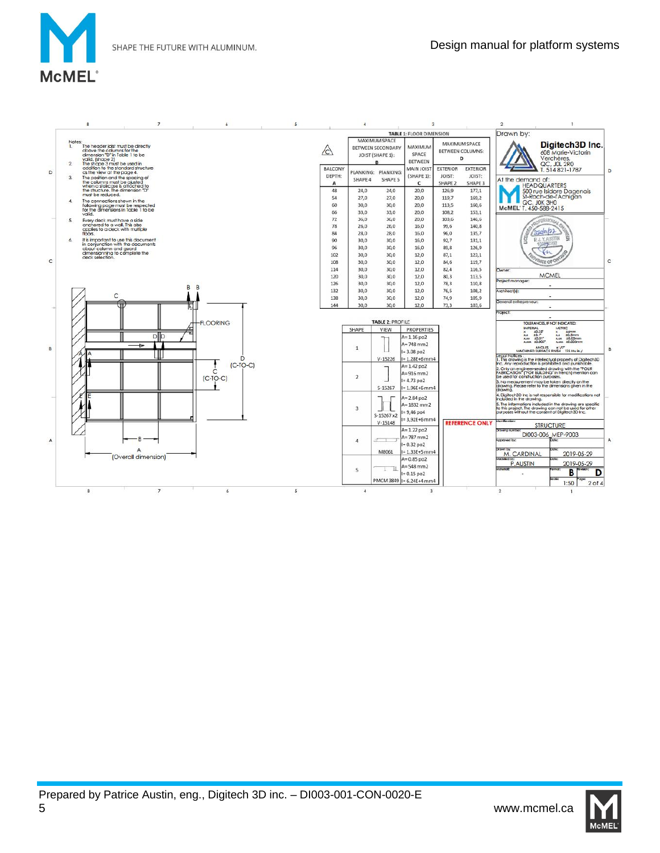SHAPE THE FUTURE WITH ALUMINUM.



|   | 8                                                                                                                                                                                      | 7                                                                         | 6               | S |                        | $\boldsymbol{4}$     |                                                                      | 3                                                                             |                                                 |                                      | $\mathbf{2}$                                                                 |                                                                                                                                                                                                                                     |   |
|---|----------------------------------------------------------------------------------------------------------------------------------------------------------------------------------------|---------------------------------------------------------------------------|-----------------|---|------------------------|----------------------|----------------------------------------------------------------------|-------------------------------------------------------------------------------|-------------------------------------------------|--------------------------------------|------------------------------------------------------------------------------|-------------------------------------------------------------------------------------------------------------------------------------------------------------------------------------------------------------------------------------|---|
|   |                                                                                                                                                                                        |                                                                           |                 |   |                        |                      |                                                                      | <b>TABLE 1: FLOOR DIMENSION</b>                                               |                                                 |                                      | Drawn by:                                                                    |                                                                                                                                                                                                                                     |   |
|   | Notes:<br>The header joist must be directly<br>L<br>above the columns for the<br>dimension "D" in Table 1 to be<br>valid. (shape 2)                                                    |                                                                           |                 |   | $\sqrt{C}$             |                      | <b>MAXIMUM SPACE</b><br><b>BETWEEN SECONDARY</b><br>JOIST (SHAPE 1): | MAXIMUM<br>SPACE<br><b>BETWEEN</b>                                            | MAXIMUM SPACE<br><b>BETWEEN COLUMNS:</b><br>D   |                                      |                                                                              | Digitech3D Inc.<br>608 Marie-Victorin<br>Verchères.                                                                                                                                                                                 |   |
| D | The shape 3 must be used in<br>$\overline{2}$<br>as the view at the page 4.<br>3.<br>The position and the spacing of<br>the columns must be ajusted<br>when a staircase is attached to | addition to the standard structure                                        |                 |   | BALCONY<br>DEPTH:<br>A | SHAPE 4              | PLANKING: PIANKING:<br>SHAPE 5                                       | MAIN JOIST<br>(SHAPE 1):<br>c                                                 | <b>EXTERIOR</b><br>JOIST:<br>SHAPE <sub>2</sub> | <b>EXTERIOR</b><br>JOIST:<br>SHAPE 3 | At the demand of:                                                            | QC, JOL 2RO<br>T. 514 821-1787<br><b>HEADQUARTERS</b>                                                                                                                                                                               | D |
|   | the structure. The dimension "D"<br>must be reduced.<br>The connections shown in the<br>4.                                                                                             |                                                                           |                 |   | 48<br>54<br>60         | 24.0<br>27.0<br>30,0 | 24,0<br>27,0<br>30,0                                                 | 20,0<br>20,0<br>20,0                                                          | 126,9<br>119.7<br>113,5                         | 177.1<br>169,2<br>160,6              |                                                                              | 500 rue Isidore Dagenais<br>St-Roch-de-l'Achigan<br>QC, JOK 3HO                                                                                                                                                                     |   |
|   | valid.<br>5.<br>Every deck must have a side                                                                                                                                            | following page must be respected<br>for the dimensions in Table 1 to be   |                 |   | 66<br>72               | 33.0<br>36,0         | 33.0<br>36,0                                                         | 20.0<br>20,0                                                                  | 108.2<br>103,6                                  | 153.1<br>146,6                       | McMEL'T. 450-588-2415                                                        | <b>ROFESSIONAL</b>                                                                                                                                                                                                                  |   |
|   | anchored to a wall. This also<br>applies to a deck with multiple<br>floors.<br>6.                                                                                                      |                                                                           |                 |   | 78<br>84<br>90         | 26.0<br>28.0<br>30,0 | 26,0<br>28.0<br>30,0                                                 | 16,0<br>16.0<br>16,0                                                          | 99.6<br>96.0<br>92,7                            | 140,8<br>135.7<br>131,1              |                                                                              | 2000122<br><b>P.J.Y. AUSTRA</b>                                                                                                                                                                                                     |   |
|   | about column and guard<br>dimensionning to complete the<br>deck selection.                                                                                                             | It is important to use this document<br>in conjunction with the documents |                 |   | 96<br>102              | 30,0<br>30,0         | 30,0<br>30,0                                                         | 16.0<br>12.0                                                                  | 89.8<br>87.1                                    | 126,9<br>123,1                       |                                                                              |                                                                                                                                                                                                                                     |   |
| c |                                                                                                                                                                                        |                                                                           |                 |   | 108<br>114<br>120      | 30,0<br>30,0<br>30.0 | 30,0<br>30,0<br>30.0                                                 | 12,0<br>12,0<br>12.0                                                          | 84.6<br>82.4<br>80.3                            | 119,7<br>116,5<br>113.5              | Owner:                                                                       | <b>VCE OF ON</b><br><b>MCMEL</b>                                                                                                                                                                                                    | C |
|   |                                                                                                                                                                                        | B                                                                         | B               |   | 126<br>132             | 30,0<br>30.0         | 30,0<br>30.0                                                         | 12.0<br>12,0                                                                  | 78.3<br>76,5                                    | 110,8<br>108,2                       | Project manager:<br>Architect <sup>[s]</sup> :                               |                                                                                                                                                                                                                                     |   |
|   | C                                                                                                                                                                                      |                                                                           |                 |   | 138<br>144             | 30.0<br>30.0         | 30.0<br>30.0                                                         | 12,0<br>12.0                                                                  | 74,9<br>73.3                                    | 105.9<br>103.6                       | General entrepreneur:<br>Project:                                            |                                                                                                                                                                                                                                     |   |
|   |                                                                                                                                                                                        |                                                                           | <b>FLOORING</b> |   |                        | <b>SHAPE</b>         | <b>TABLE 2: PROFILE</b><br><b>VIEW</b>                               | PROPERTIES                                                                    |                                                 |                                      | <b>IMPERIAL</b>                                                              | TOLERANCES, IF NOT INDICATED:<br><b>METRIC</b>                                                                                                                                                                                      |   |
| B |                                                                                                                                                                                        | DID<br>ь                                                                  |                 |   |                        | $\mathbf{1}$         |                                                                      | $A = 1.16$ po2<br>$A = 748$ mm2                                               |                                                 |                                      | $x = \frac{10.25^{\circ}}{10.1^{\circ}}$<br>$+0.01$<br>XXX.<br>x.xxx ±0.002" | $+6$ mm<br>xx ±0.5mm<br>±0.05mm<br>xxx<br><b>KNOCK</b><br><b>#0.005mm</b>                                                                                                                                                           |   |
|   |                                                                                                                                                                                        |                                                                           | $(C-TO-C)$      |   |                        |                      | $V - 15226$                                                          | $I = 3.08$ po2<br>$= 1.28E + 6$ mm4<br>$A = 1.42$ po2                         |                                                 |                                      | Legal Notices:                                                               | ANGLES #1/2"<br>MACHINED SURFACE HNISH 125 Mu In./<br>1. This drawing is the intellectual property of Digitech3D<br>Inc. Any reproduction is prohibited and punishable.                                                             |   |
|   |                                                                                                                                                                                        |                                                                           | C<br>$[C-TO-C]$ |   |                        | $\overline{2}$       | S-15267                                                              | $A = 916$ mm2<br>$= 4.73$ po2<br>$= 1.96E + 6$ mm4                            |                                                 |                                      | be used for construction purposes.                                           | 2. Only an engineer-seated drawing with the "POUR"<br>FABRICATION" ("FOR BUILDING" in french) mention can<br>3. No measurement may be taken directly on the<br>drawing. Please refer to the dimensions given in the                 |   |
|   |                                                                                                                                                                                        |                                                                           |                 |   |                        | 3                    | S-15267 x2                                                           | $A = 2.84$ po2<br>$A = 1832$ mm2<br>$= 9,46$ po4<br>$= 3,92E+6$ mm4           |                                                 |                                      | drawing.<br>included in the drawing.                                         | 4. Digitech3D Inc is not responsible for modifications not<br>5. The informations included in the drawing are specific<br>to this project. The drawing can not be used for other<br>purposes without the consent of Digitech3D Inc. |   |
|   |                                                                                                                                                                                        |                                                                           |                 |   |                        |                      | $V - 15148$                                                          | $A = 1.22$ po2<br>$A = 787$ mm2                                               |                                                 | <b>REFERENCE ONLY</b>                | dentification<br><b>CONTRACTOR</b>                                           | <b>STRUCTURE</b><br>DI003-006 MEP-9003                                                                                                                                                                                              |   |
| Α |                                                                                                                                                                                        | А                                                                         |                 |   |                        | $\overline{4}$       | M8061                                                                | $= 0.32$ po2<br>$I = 1.33E + 5$ mm4                                           |                                                 |                                      | Approved by<br><b>DOWN TW</b><br>M. CARDINAL                                 | 2019-05-29                                                                                                                                                                                                                          |   |
|   |                                                                                                                                                                                        | (Overall dimension)                                                       |                 |   |                        | 5                    |                                                                      | $A = 0.85$ po2<br>$A = 548$ mm2<br>$= 0.15$ po2<br>PMCM 3849   I= 6.24E+4 mm4 |                                                 |                                      | <b>Modeled by:</b><br>P.AUSTIN<br>MotorialE                                  | <b>Villa</b><br>2019-05-29<br>B<br>D<br><b>Scote</b>                                                                                                                                                                                |   |
|   | $\mathbf{a}$                                                                                                                                                                           | $\overline{7}$                                                            | ٨               | 5 |                        | $\Delta$             |                                                                      | 3                                                                             |                                                 |                                      | $\overline{2}$                                                               | 1:50<br>$2$ of $4$                                                                                                                                                                                                                  |   |

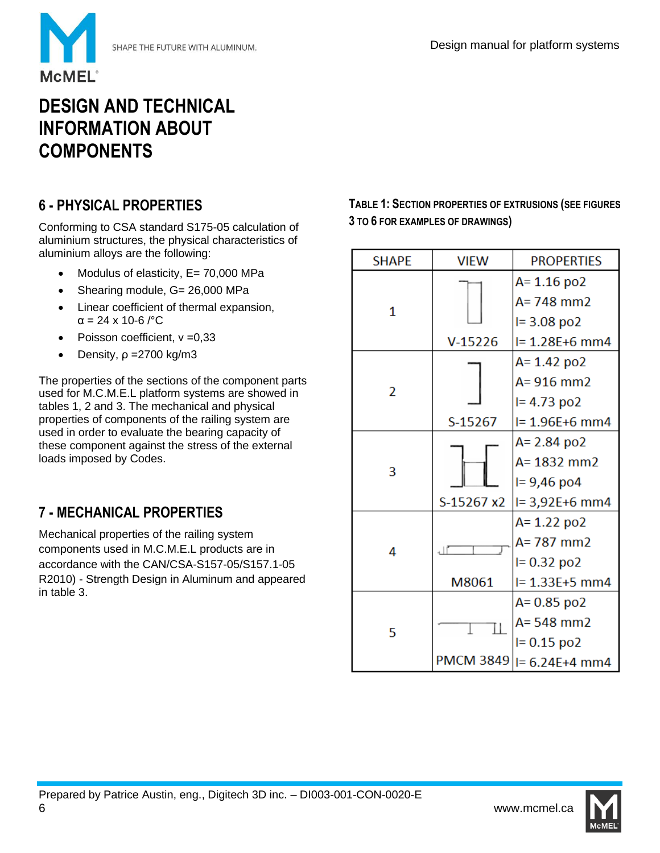

# **DESIGN AND TECHNICAL INFORMATION ABOUT COMPONENTS**

# **6 - PHYSICAL PROPERTIES**

Conforming to CSA standard S175-05 calculation of aluminium structures, the physical characteristics of aluminium alloys are the following:

- Modulus of elasticity, E= 70,000 MPa
- Shearing module, G= 26,000 MPa
- Linear coefficient of thermal expansion, α = 24 x 10-6 /°C
- Poisson coefficient, ν =0,33
- Density,  $ρ = 2700 kg/m3$

The properties of the sections of the component parts used for M.C.M.E.L platform systems are showed in tables 1, 2 and 3. The mechanical and physical properties of components of the railing system are used in order to evaluate the bearing capacity of these component against the stress of the external loads imposed by Codes.

# **7 - MECHANICAL PROPERTIES**

Mechanical properties of the railing system components used in M.C.M.E.L products are in accordance with the CAN/CSA-S157-05/S157.1-05 R2010) - Strength Design in Aluminum and appeared in table 3.

**TABLE 1: SECTION PROPERTIES OF EXTRUSIONS (SEE FIGURES 3 TO 6 FOR EXAMPLES OF DRAWINGS)**